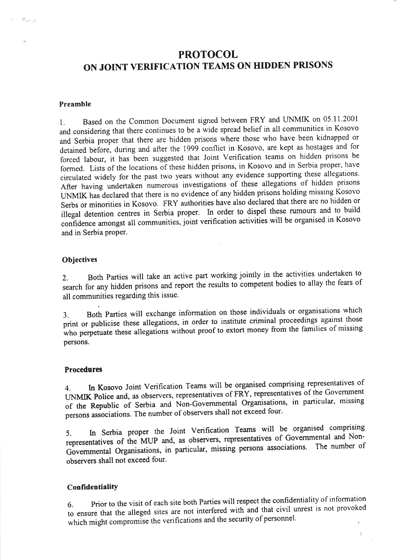# PROTOCOL ON JOINT VERIFICATION TEAMS ON HIDDEN PRISONS

# Preamble

 $\sigma_{\rm e} \sim 2$ 

1. Based on the Common Document signed between FRY and UNMIK on 05.11.2001 and considering that there continues to be a wide spread belief in all communities in Kosovo and Serbia proper that there are hidden prisons where those who have been kidnapped or detained before, during and after the 1999 conflict in Kosovo, are kept as hostages and for forced labour, it has been suggested that Joint Verification teams on hidden prisons be formed. Lists of the locations of these hidden prisons, in Kosovo and in Serbia proper, have circulated widely for the past two years without any evidence supporting these allegations' After having undertaken numerous investigations of these allegations of hidden prisons LINMIK has declared that there is no evidence of any hidden prisons holding missing Kosovo Serbs or minorities in Kosovo. FRY authorities have also declared that there are no hidden or illegal detention centres in Serbia proper. In order to dispel these rumours and to build confidence amongst all communities, joint verification activities will be organised in Kosovo and in Serbia proper.

# **Objectives**

2. Both Parties will take an active part working jointly in the activities undertaken to search for any hidden prisons and report ihe results to competent bodies to allay the fears of all communities regarding this issue.

3. Both parties will exchange information on those individuals or organisations which print or publicise these allegations, in order to institute criminal proceedings against those who perpetuate these allegations without proof to extort money from the families of missing persons.

#### Procedures

4. In Kosovo Joint Verification Teams will be organised comprising representatives of UNMIK Police and, as observers, representatives of FRY, representatives of the Government of the Republic of Serbia and Non-Governmental Organisations, in particular, missing persons associations. The number of observers shall not exceed four.

5. In Serbia proper the Joint Verification Teams will be organised comprising representatives of the MUP and, as observers, representatives of Governmental and Non-Governmental Organisations, in particular, missing persons associations. The number of observers shall not exceed four.

## Confidentiality

Prior to the visit of each site both Parties will respect the confidentiality of information to ensure that the alleged sites are not interfered with and that civil unrest is not provoked which might compromise the verifications and the security of personnel.

 $\mathbf{1}$